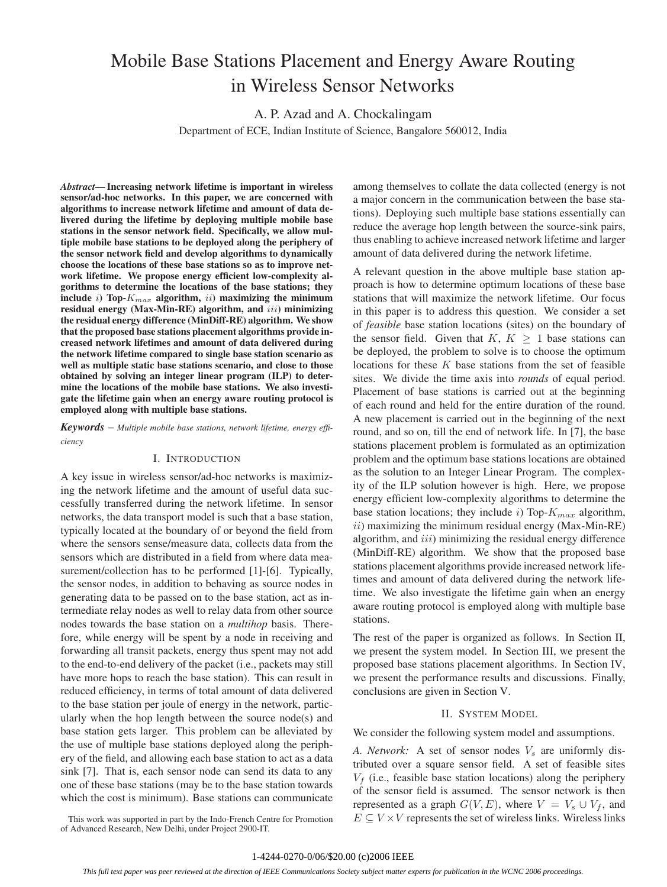# Mobile Base Stations Placement and Energy Aware Routing in Wireless Sensor Networks

A. P. Azad and A. Chockalingam

Department of ECE, Indian Institute of Science, Bangalore 560012, India

*Abstract***— Increasing network lifetime is important in wireless sensor/ad-hoc networks. In this paper, we are concerned with algorithms to increase network lifetime and amount of data delivered during the lifetime by deploying multiple mobile base stations in the sensor network field. Specifically, we allow multiple mobile base stations to be deployed along the periphery of the sensor network field and develop algorithms to dynamically choose the locations of these base stations so as to improve network lifetime. We propose energy efficient low-complexity algorithms to determine the locations of the base stations; they include** i**) Top-**K*max* **algorithm,** ii**) maximizing the minimum residual energy (Max-Min-RE) algorithm, and** iii**) minimizing the residual energy difference (MinDiff-RE) algorithm. We show that the proposed base stations placement algorithms provide increased network lifetimes and amount of data delivered during the network lifetime compared to single base station scenario as well as multiple static base stations scenario, and close to those obtained by solving an integer linear program (ILP) to determine the locations of the mobile base stations. We also investigate the lifetime gain when an energy aware routing protocol is employed along with multiple base stations.**

*Keywords* – *Multiple mobile base stations, network lifetime, energy efficiency*

#### I. INTRODUCTION

A key issue in wireless sensor/ad-hoc networks is maximizing the network lifetime and the amount of useful data successfully transferred during the network lifetime. In sensor networks, the data transport model is such that a base station, typically located at the boundary of or beyond the field from where the sensors sense/measure data, collects data from the sensors which are distributed in a field from where data measurement/collection has to be performed [1]-[6]. Typically, the sensor nodes, in addition to behaving as source nodes in generating data to be passed on to the base station, act as intermediate relay nodes as well to relay data from other source nodes towards the base station on a *multihop* basis. Therefore, while energy will be spent by a node in receiving and forwarding all transit packets, energy thus spent may not add to the end-to-end delivery of the packet (i.e., packets may still have more hops to reach the base station). This can result in reduced efficiency, in terms of total amount of data delivered to the base station per joule of energy in the network, particularly when the hop length between the source node(s) and base station gets larger. This problem can be alleviated by the use of multiple base stations deployed along the periphery of the field, and allowing each base station to act as a data sink [7]. That is, each sensor node can send its data to any one of these base stations (may be to the base station towards which the cost is minimum). Base stations can communicate

among themselves to collate the data collected (energy is not a major concern in the communication between the base stations). Deploying such multiple base stations essentially can reduce the average hop length between the source-sink pairs, thus enabling to achieve increased network lifetime and larger amount of data delivered during the network lifetime.

A relevant question in the above multiple base station approach is how to determine optimum locations of these base stations that will maximize the network lifetime. Our focus in this paper is to address this question. We consider a set of *feasible* base station locations (sites) on the boundary of the sensor field. Given that  $K, K \geq 1$  base stations can be deployed, the problem to solve is to choose the optimum locations for these  $K$  base stations from the set of feasible sites. We divide the time axis into *rounds* of equal period. Placement of base stations is carried out at the beginning of each round and held for the entire duration of the round. A new placement is carried out in the beginning of the next round, and so on, till the end of network life. In [7], the base stations placement problem is formulated as an optimization problem and the optimum base stations locations are obtained as the solution to an Integer Linear Program. The complexity of the ILP solution however is high. Here, we propose energy efficient low-complexity algorithms to determine the base station locations; they include i) Top- $K_{max}$  algorithm,  $ii)$  maximizing the minimum residual energy (Max-Min-RE) algorithm, and  $iii)$  minimizing the residual energy difference (MinDiff-RE) algorithm. We show that the proposed base stations placement algorithms provide increased network lifetimes and amount of data delivered during the network lifetime. We also investigate the lifetime gain when an energy aware routing protocol is employed along with multiple base stations.

The rest of the paper is organized as follows. In Section II, we present the system model. In Section III, we present the proposed base stations placement algorithms. In Section IV, we present the performance results and discussions. Finally, conclusions are given in Section V.

#### II. SYSTEM MODEL

We consider the following system model and assumptions.

*A. Network:* A set of sensor nodes V*<sup>s</sup>* are uniformly distributed over a square sensor field. A set of feasible sites  $V_f$  (i.e., feasible base station locations) along the periphery of the sensor field is assumed. The sensor network is then represented as a graph  $G(V, E)$ , where  $V = V_s \cup V_f$ , and  $E \subseteq V \times V$  represents the set of wireless links. Wireless links

This work was supported in part by the Indo-French Centre for Promotion of Advanced Research, New Delhi, under Project 2900-IT.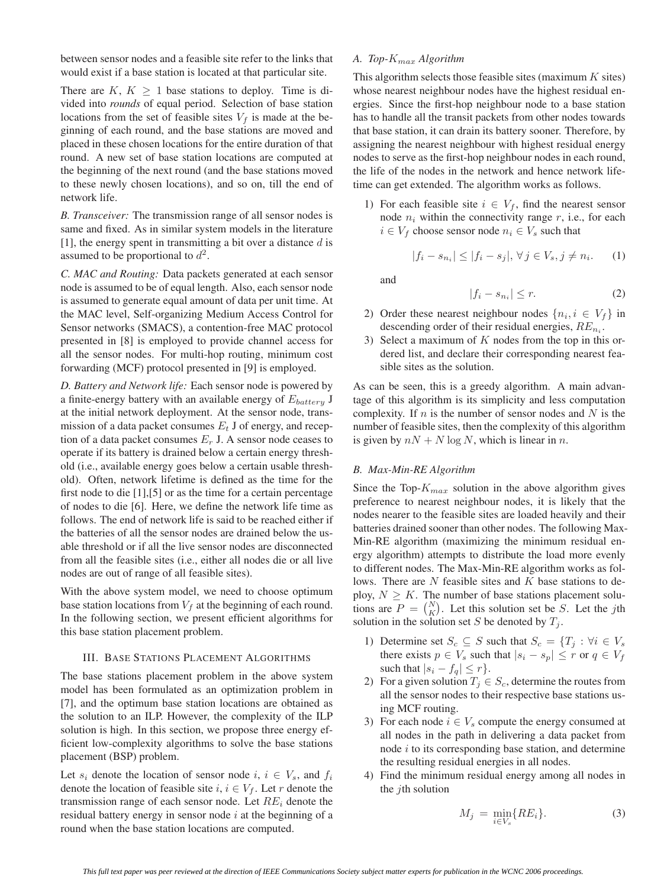between sensor nodes and a feasible site refer to the links that would exist if a base station is located at that particular site.

There are  $K, K \geq 1$  base stations to deploy. Time is divided into *rounds* of equal period. Selection of base station locations from the set of feasible sites  $V_f$  is made at the beginning of each round, and the base stations are moved and placed in these chosen locations for the entire duration of that round. A new set of base station locations are computed at the beginning of the next round (and the base stations moved to these newly chosen locations), and so on, till the end of network life.

*B. Transceiver:* The transmission range of all sensor nodes is same and fixed. As in similar system models in the literature [1], the energy spent in transmitting a bit over a distance  $d$  is assumed to be proportional to  $d^2$ .

*C. MAC and Routing:* Data packets generated at each sensor node is assumed to be of equal length. Also, each sensor node is assumed to generate equal amount of data per unit time. At the MAC level, Self-organizing Medium Access Control for Sensor networks (SMACS), a contention-free MAC protocol presented in [8] is employed to provide channel access for all the sensor nodes. For multi-hop routing, minimum cost forwarding (MCF) protocol presented in [9] is employed.

*D. Battery and Network life:* Each sensor node is powered by a finite-energy battery with an available energy of E*battery* J at the initial network deployment. At the sensor node, transmission of a data packet consumes E*<sup>t</sup>* J of energy, and reception of a data packet consumes E*<sup>r</sup>* J. A sensor node ceases to operate if its battery is drained below a certain energy threshold (i.e., available energy goes below a certain usable threshold). Often, network lifetime is defined as the time for the first node to die [1],[5] or as the time for a certain percentage of nodes to die [6]. Here, we define the network life time as follows. The end of network life is said to be reached either if the batteries of all the sensor nodes are drained below the usable threshold or if all the live sensor nodes are disconnected from all the feasible sites (i.e., either all nodes die or all live nodes are out of range of all feasible sites).

With the above system model, we need to choose optimum base station locations from  $V_f$  at the beginning of each round. In the following section, we present efficient algorithms for this base station placement problem.

#### III. BASE STATIONS PLACEMENT ALGORITHMS

The base stations placement problem in the above system model has been formulated as an optimization problem in [7], and the optimum base station locations are obtained as the solution to an ILP. However, the complexity of the ILP solution is high. In this section, we propose three energy efficient low-complexity algorithms to solve the base stations placement (BSP) problem.

Let  $s_i$  denote the location of sensor node  $i, i \in V_s$ , and  $f_i$ denote the location of feasible site  $i, i \in V_f$ . Let r denote the transmission range of each sensor node. Let RE*<sup>i</sup>* denote the residual battery energy in sensor node  $i$  at the beginning of a round when the base station locations are computed.

## *A. Top-*K*max Algorithm*

This algorithm selects those feasible sites (maximum  $K$  sites) whose nearest neighbour nodes have the highest residual energies. Since the first-hop neighbour node to a base station has to handle all the transit packets from other nodes towards that base station, it can drain its battery sooner. Therefore, by assigning the nearest neighbour with highest residual energy nodes to serve as the first-hop neighbour nodes in each round, the life of the nodes in the network and hence network lifetime can get extended. The algorithm works as follows.

1) For each feasible site  $i \in V_f$ , find the nearest sensor node  $n_i$  within the connectivity range  $r$ , i.e., for each  $i \in V_f$  choose sensor node  $n_i \in V_s$  such that

$$
|f_i - s_{n_i}| \le |f_i - s_j|, \forall j \in V_s, j \ne n_i.
$$
 (1)

and

$$
|f_i - s_{n_i}| \le r. \tag{2}
$$

- 2) Order these nearest neighbour nodes  $\{n_i, i \in V_f\}$  in descending order of their residual energies, RE*n<sup>i</sup>* .
- 3) Select a maximum of  $K$  nodes from the top in this ordered list, and declare their corresponding nearest feasible sites as the solution.

As can be seen, this is a greedy algorithm. A main advantage of this algorithm is its simplicity and less computation complexity. If  $n$  is the number of sensor nodes and  $N$  is the number of feasible sites, then the complexity of this algorithm is given by  $nN + N \log N$ , which is linear in n.

### *B. Max-Min-RE Algorithm*

Since the Top-K*max* solution in the above algorithm gives preference to nearest neighbour nodes, it is likely that the nodes nearer to the feasible sites are loaded heavily and their batteries drained sooner than other nodes. The following Max-Min-RE algorithm (maximizing the minimum residual energy algorithm) attempts to distribute the load more evenly to different nodes. The Max-Min-RE algorithm works as follows. There are  $N$  feasible sites and  $K$  base stations to deploy,  $N \geq K$ . The number of base stations placement solutions are  $P = {N \choose K}$ . Let this solution set be S. Let the *j*th solution in the solution set S be denoted by T. solution in the solution set S be denoted by  $T_j$ .

- 1) Determine set  $S_c \subseteq S$  such that  $S_c = \{T_j : \forall i \in V_s\}$ there exists  $p \in V_s$  such that  $|s_i - s_p| \leq r$  or  $q \in V_f$ such that  $|s_i - f_q| \leq r$ .
- 2) For a given solution  $T_j \in S_c$ , determine the routes from all the sensor nodes to their respective base stations using MCF routing.
- 3) For each node  $i \in V_s$  compute the energy consumed at all nodes in the path in delivering a data packet from node  $i$  to its corresponding base station, and determine the resulting residual energies in all nodes.
- 4) Find the minimum residual energy among all nodes in the jth solution

$$
M_j = \min_{i \in V_s} \{RE_i\}.
$$
 (3)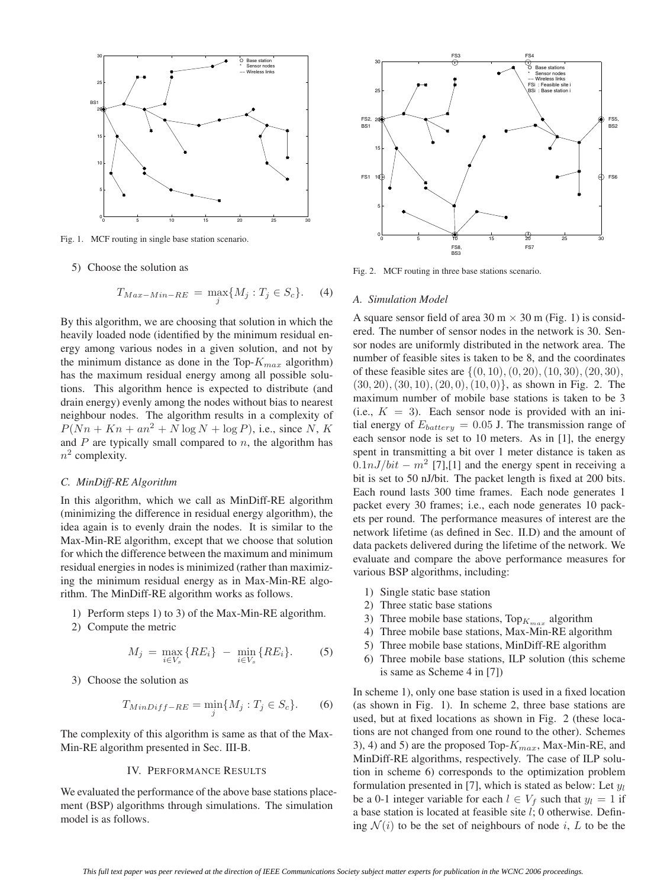

Fig. 1. MCF routing in single base station scenario.

5) Choose the solution as

$$
T_{Max-Min-RE} = \max_{j} \{ M_j : T_j \in S_c \}. \tag{4}
$$

By this algorithm, we are choosing that solution in which the heavily loaded node (identified by the minimum residual energy among various nodes in a given solution, and not by the minimum distance as done in the Top- $K_{max}$  algorithm) has the maximum residual energy among all possible solutions. This algorithm hence is expected to distribute (and drain energy) evenly among the nodes without bias to nearest neighbour nodes. The algorithm results in a complexity of  $P(Nn + Kn + an^2 + N \log N + \log P)$ , i.e., since N, K and  $P$  are typically small compared to  $n$ , the algorithm has  $n^2$  complexity.

#### *C. MinDiff-RE Algorithm*

In this algorithm, which we call as MinDiff-RE algorithm (minimizing the difference in residual energy algorithm), the idea again is to evenly drain the nodes. It is similar to the Max-Min-RE algorithm, except that we choose that solution for which the difference between the maximum and minimum residual energies in nodes is minimized (rather than maximizing the minimum residual energy as in Max-Min-RE algorithm. The MinDiff-RE algorithm works as follows.

- 1) Perform steps 1) to 3) of the Max-Min-RE algorithm.
- 2) Compute the metric

$$
M_j = \max_{i \in V_s} \{RE_i\} - \min_{i \in V_s} \{RE_i\}.
$$
 (5)

3) Choose the solution as

$$
T_{MinDiff-RE} = \min_{j} \{ M_j : T_j \in S_c \}.
$$
 (6)

The complexity of this algorithm is same as that of the Max-Min-RE algorithm presented in Sec. III-B.

### IV. PERFORMANCE RESULTS

We evaluated the performance of the above base stations placement (BSP) algorithms through simulations. The simulation model is as follows.



Fig. 2. MCF routing in three base stations scenario.

#### *A. Simulation Model*

A square sensor field of area 30 m  $\times$  30 m (Fig. 1) is considered. The number of sensor nodes in the network is 30. Sensor nodes are uniformly distributed in the network area. The number of feasible sites is taken to be 8, and the coordinates of these feasible sites are  $\{(0, 10), (0, 20), (10, 30), (20, 30),\}$  $(30, 20), (30, 10), (20, 0), (10, 0)$ , as shown in Fig. 2. The maximum number of mobile base stations is taken to be 3 (i.e.,  $K = 3$ ). Each sensor node is provided with an initial energy of  $E_{battery} = 0.05$  J. The transmission range of each sensor node is set to 10 meters. As in [1], the energy spent in transmitting a bit over 1 meter distance is taken as  $0.1nJ/bit - m^2$  [7],[1] and the energy spent in receiving a bit is set to 50 nJ/bit. The packet length is fixed at 200 bits. Each round lasts 300 time frames. Each node generates 1 packet every 30 frames; i.e., each node generates 10 packets per round. The performance measures of interest are the network lifetime (as defined in Sec. II.D) and the amount of data packets delivered during the lifetime of the network. We evaluate and compare the above performance measures for various BSP algorithms, including:

- 1) Single static base station
- 2) Three static base stations
- 3) Three mobile base stations,  $\text{Top}_{K_{max}}$  algorithm
- 4) Three mobile base stations, Max-Min-RE algorithm
- 5) Three mobile base stations, MinDiff-RE algorithm
- 6) Three mobile base stations, ILP solution (this scheme is same as Scheme 4 in [7])

In scheme 1), only one base station is used in a fixed location (as shown in Fig. 1). In scheme 2, three base stations are used, but at fixed locations as shown in Fig. 2 (these locations are not changed from one round to the other). Schemes 3), 4) and 5) are the proposed Top-K*max*, Max-Min-RE, and MinDiff-RE algorithms, respectively. The case of ILP solution in scheme 6) corresponds to the optimization problem formulation presented in [7], which is stated as below: Let y*<sup>l</sup>* be a 0-1 integer variable for each  $l \in V_f$  such that  $y_l = 1$  if a base station is located at feasible site  $l$ ; 0 otherwise. Defining  $\mathcal{N}(i)$  to be the set of neighbours of node i, L to be the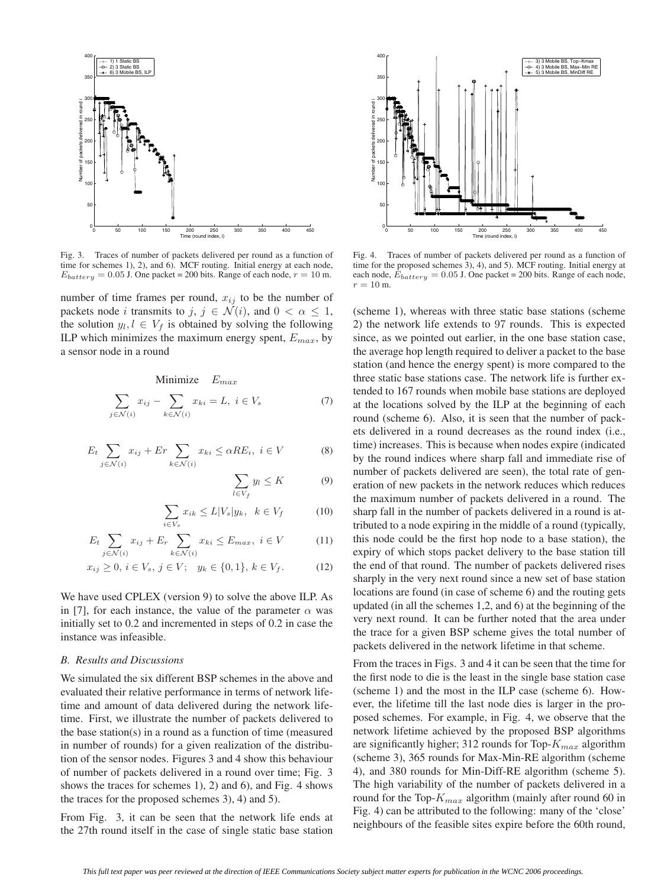

Fig. 3. Traces of number of packets delivered per round as a function of time for schemes 1), 2), and 6). MCF routing. Initial energy at each node,  $E_{battery} = 0.05$  J. One packet = 200 bits. Range of each node,  $r = 10$  m.

number of time frames per round,  $x_{ij}$  to be the number of packets node *i* transmits to  $j, j \in \mathcal{N}(i)$ , and  $0 < \alpha \leq 1$ , the solution  $y_l, l \in V_f$  is obtained by solving the following ILP which minimizes the maximum energy spent, E*max*, by a sensor node in a round

## Minimize E*max*

$$
\sum_{j \in \mathcal{N}(i)} x_{ij} - \sum_{k \in \mathcal{N}(i)} x_{ki} = L, \ i \in V_s \tag{7}
$$

$$
E_t \sum_{j \in \mathcal{N}(i)} x_{ij} + Er \sum_{k \in \mathcal{N}(i)} x_{ki} \le \alpha RE_i, \ i \in V \tag{8}
$$

$$
\sum_{l \in V_f} y_l \le K \tag{9}
$$

$$
\sum_{i \in V_s} x_{ik} \le L |V_s| y_k, \ \ k \in V_f \tag{10}
$$

$$
E_t \sum_{j \in \mathcal{N}(i)} x_{ij} + E_r \sum_{k \in \mathcal{N}(i)} x_{ki} \le E_{max}, \ i \in V \tag{11}
$$

$$
x_{ij} \ge 0, \, i \in V_s, \, j \in V; \quad y_k \in \{0, 1\}, \, k \in V_f. \tag{12}
$$

We have used CPLEX (version 9) to solve the above ILP. As in [7], for each instance, the value of the parameter  $\alpha$  was initially set to 0.2 and incremented in steps of 0.2 in case the instance was infeasible.

### *B. Results and Discussions*

We simulated the six different BSP schemes in the above and evaluated their relative performance in terms of network lifetime and amount of data delivered during the network lifetime. First, we illustrate the number of packets delivered to the base station(s) in a round as a function of time (measured in number of rounds) for a given realization of the distribution of the sensor nodes. Figures 3 and 4 show this behaviour of number of packets delivered in a round over time; Fig. 3 shows the traces for schemes 1), 2) and 6), and Fig. 4 shows the traces for the proposed schemes 3), 4) and 5).

From Fig. 3, it can be seen that the network life ends at the 27th round itself in the case of single static base station



Fig. 4. Traces of number of packets delivered per round as a function of time for the proposed schemes 3), 4), and 5). MCF routing. Initial energy at each node,  $E_{battery} = 0.05$  J. One packet = 200 bits. Range of each node,  $r = 10$  m.

(scheme 1), whereas with three static base stations (scheme 2) the network life extends to 97 rounds. This is expected since, as we pointed out earlier, in the one base station case, the average hop length required to deliver a packet to the base station (and hence the energy spent) is more compared to the three static base stations case. The network life is further extended to 167 rounds when mobile base stations are deployed at the locations solved by the ILP at the beginning of each round (scheme 6). Also, it is seen that the number of packets delivered in a round decreases as the round index (i.e., time) increases. This is because when nodes expire (indicated by the round indices where sharp fall and immediate rise of number of packets delivered are seen), the total rate of generation of new packets in the network reduces which reduces the maximum number of packets delivered in a round. The sharp fall in the number of packets delivered in a round is attributed to a node expiring in the middle of a round (typically, this node could be the first hop node to a base station), the expiry of which stops packet delivery to the base station till the end of that round. The number of packets delivered rises sharply in the very next round since a new set of base station locations are found (in case of scheme 6) and the routing gets updated (in all the schemes 1,2, and 6) at the beginning of the very next round. It can be further noted that the area under the trace for a given BSP scheme gives the total number of packets delivered in the network lifetime in that scheme.

From the traces in Figs. 3 and 4 it can be seen that the time for the first node to die is the least in the single base station case (scheme 1) and the most in the ILP case (scheme 6). However, the lifetime till the last node dies is larger in the proposed schemes. For example, in Fig. 4, we observe that the network lifetime achieved by the proposed BSP algorithms are significantly higher; 312 rounds for Top-K*max* algorithm (scheme 3), 365 rounds for Max-Min-RE algorithm (scheme 4), and 380 rounds for Min-Diff-RE algorithm (scheme 5). The high variability of the number of packets delivered in a round for the Top-K*max* algorithm (mainly after round 60 in Fig. 4) can be attributed to the following: many of the 'close' neighbours of the feasible sites expire before the 60th round,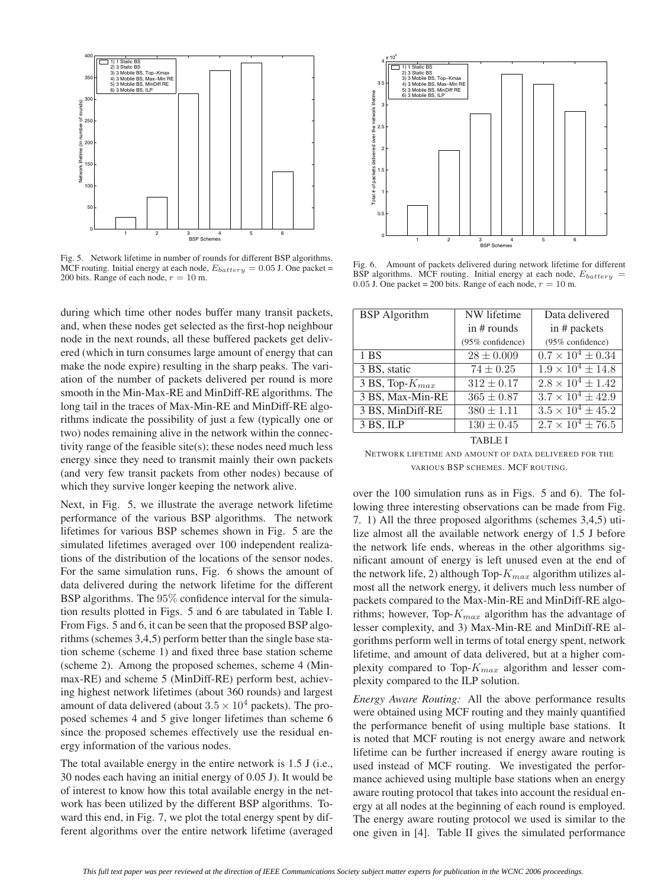

Fig. 5. Network lifetime in number of rounds for different BSP algorithms. MCF routing. Initial energy at each node,  $E_{battery} = 0.05$  J. One packet = 200 bits. Range of each node,  $r = 10$  m.

during which time other nodes buffer many transit packets, and, when these nodes get selected as the first-hop neighbour node in the next rounds, all these buffered packets get delivered (which in turn consumes large amount of energy that can make the node expire) resulting in the sharp peaks. The variation of the number of packets delivered per round is more smooth in the Min-Max-RE and MinDiff-RE algorithms. The long tail in the traces of Max-Min-RE and MinDiff-RE algorithms indicate the possibility of just a few (typically one or two) nodes remaining alive in the network within the connectivity range of the feasible site(s); these nodes need much less energy since they need to transmit mainly their own packets (and very few transit packets from other nodes) because of which they survive longer keeping the network alive.

Next, in Fig. 5, we illustrate the average network lifetime performance of the various BSP algorithms. The network lifetimes for various BSP schemes shown in Fig. 5 are the simulated lifetimes averaged over 100 independent realizations of the distribution of the locations of the sensor nodes. For the same simulation runs, Fig. 6 shows the amount of data delivered during the network lifetime for the different BSP algorithms. The 95% confidence interval for the simulation results plotted in Figs. 5 and 6 are tabulated in Table I. From Figs. 5 and 6, it can be seen that the proposed BSP algorithms (schemes 3,4,5) perform better than the single base station scheme (scheme 1) and fixed three base station scheme (scheme 2). Among the proposed schemes, scheme 4 (Minmax-RE) and scheme 5 (MinDiff-RE) perform best, achieving highest network lifetimes (about 360 rounds) and largest amount of data delivered (about  $3.5 \times 10^4$  packets). The proposed schemes 4 and 5 give longer lifetimes than scheme 6 since the proposed schemes effectively use the residual energy information of the various nodes.

The total available energy in the entire network is 1.5 J (i.e., 30 nodes each having an initial energy of 0.05 J). It would be of interest to know how this total available energy in the network has been utilized by the different BSP algorithms. Toward this end, in Fig. 7, we plot the total energy spent by different algorithms over the entire network lifetime (averaged



Fig. 6. Amount of packets delivered during network lifetime for different BSP algorithms. MCF routing. Initial energy at each node,  $E_{battery}$  = 0.05 J. One packet = 200 bits. Range of each node,  $r = 10$  m.

| <b>BSP</b> Algorithm | NW lifetime      | Data delivered                        |
|----------------------|------------------|---------------------------------------|
|                      | in # rounds      | in # packets                          |
|                      | (95% confidence) | (95% confidence)                      |
| 1 BS                 | $28 \pm 0.009$   | $\overline{0.7 \times 10^4 \pm 0.34}$ |
| 3 BS, static         | $74 \pm 0.25$    |                                       |
| 3 BS, Top- $K_{max}$ | $312 \pm 0.17$   | $2.\overline{8 \times 10^4 \pm 1.42}$ |
| 3 BS, Max-Min-RE     | $365 \pm 0.87$   | $\frac{3.7 \times 10^4 \pm 42.9}{2}$  |
| 3 BS, MinDiff-RE     | $380 \pm 1.11$   | $3.5 \times 10^4 \pm 45.2$            |
| 3 BS, ILP            | $130 \pm 0.45$   | $2.7 \times 10^4 \pm 76.5$            |
|                      | TABLE I          |                                       |

NETWORK LIFETIME AND AMOUNT OF DATA DELIVERED FOR THE VARIOUS BSP SCHEMES. MCF ROUTING.

over the 100 simulation runs as in Figs. 5 and 6). The following three interesting observations can be made from Fig. 7. 1) All the three proposed algorithms (schemes 3,4,5) utilize almost all the available network energy of 1.5 J before the network life ends, whereas in the other algorithms significant amount of energy is left unused even at the end of the network life, 2) although Top-K*max* algorithm utilizes almost all the network energy, it delivers much less number of packets compared to the Max-Min-RE and MinDiff-RE algorithms; however, Top-K*max* algorithm has the advantage of lesser complexity, and 3) Max-Min-RE and MinDiff-RE algorithms perform well in terms of total energy spent, network lifetime, and amount of data delivered, but at a higher complexity compared to Top-K*max* algorithm and lesser complexity compared to the ILP solution.

*Energy Aware Routing:* All the above performance results were obtained using MCF routing and they mainly quantified the performance benefit of using multiple base stations. It is noted that MCF routing is not energy aware and network lifetime can be further increased if energy aware routing is used instead of MCF routing. We investigated the performance achieved using multiple base stations when an energy aware routing protocol that takes into account the residual energy at all nodes at the beginning of each round is employed. The energy aware routing protocol we used is similar to the one given in [4]. Table II gives the simulated performance